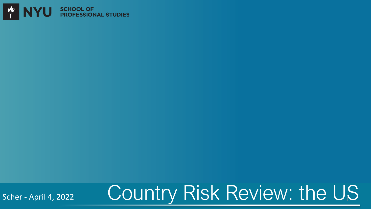

Scher - April 4, 2022

## Country Risk Review: the U.S.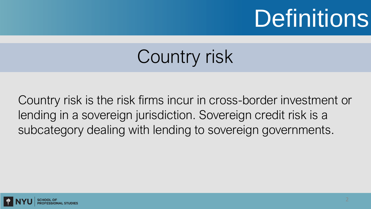# **Definitions**

### Country risk

Country risk is the risk firms incur in cross-border investment or lending in a sovereign jurisdiction. Sovereign credit risk is a subcategory dealing with lending to sovereign governments.

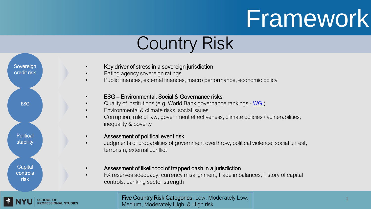# Framework

### Country Risk



**ESSIONAL STUDIES** 

#### Key driver of stress in a sovereign jurisdiction

- Rating agency sovereign ratings
- Public finances, external finances, macro performance, economic policy

#### • ESG – Environmental, Social & Governance risks

- Quality of institutions (e.g. World Bank governance rankings [WGI\)](http://info.worldbank.org/governance/wgi/)
- Environmental & climate risks, social issues
	- Corruption, rule of law, government effectiveness, climate policies / vulnerabilities, inequality & poverty

#### • Assessment of political event risk

• Judgments of probabilities of government overthrow, political violence, social unrest, terrorism, external conflict

#### • Assessment of likelihood of trapped cash in a jurisdiction

• FX reserves adequacy, currency misalignment, trade imbalances, history of capital controls, banking sector strength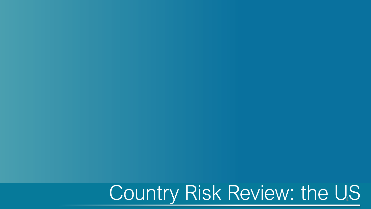### Country Risk Review: the U.S.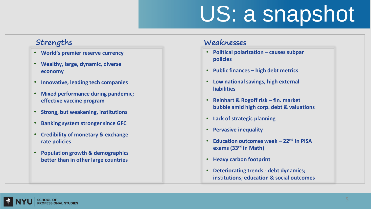# US: a snapshot

#### **Strengths**

- **World's premier reserve currency**
- **Wealthy, large, dynamic, diverse economy**
- **Innovative, leading tech companies**
- **Mixed performance during pandemic; effective vaccine program**
- **Strong, but weakening, institutions**
- **Banking system stronger since GFC**
- **Credibility of monetary & exchange rate policies**
- **Population growth & demographics better than in other large countries**

#### **Weaknesses**

- **Political polarization – causes subpar policies**
- **Public finances – high debt metrics**
- **Low national savings, high external liabilities**
- **Reinhart & Rogoff risk – fin. market bubble amid high corp. debt & valuations**
- **Lack of strategic planning**
- **Pervasive inequality**
- **Education outcomes weak – 22nd in PISA exams (33rd in Math)**
- **Heavy carbon footprint**
- **Deteriorating trends - debt dynamics; institutions; education & social outcomes**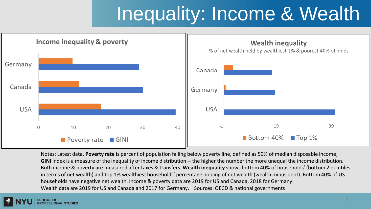### Inequality: Income & Wealth



Notes: Latest data**. Poverty rate** is percent of population falling below poverty line, defined as 50% of median disposable income; **GINI** index is a measure of the inequality of income distribution -- the higher the number the more unequal the income distribution. Both income & poverty are measured after taxes & transfers. **Wealth inequality** shows bottom 40% of households' (bottom 2 quintiles in terms of net wealth) and top 1% wealthiest households' percentage holding of net wealth (wealth minus debt). Bottom 40% of US households have negative net wealth. Income & poverty data are 2019 for US and Canada, 2018 for Germany. Wealth data are 2019 for US and Canada and 2017 for Germany. Sources: OECD & national governments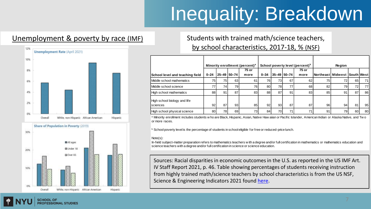## Inequality: Breakdown





**ROFESSIONAL STUDIES** 

Unemployment & poverty by race (IMF) Students with trained math/science teachers, by school characteristics, 2017-18, % (NSF)

|                                          | Minority enrollment (percent) <sup>a</sup> |    |             |                 | School poverty level (percent) <sup>b</sup> |             |     |               | Region                       |    |    |    |
|------------------------------------------|--------------------------------------------|----|-------------|-----------------|---------------------------------------------|-------------|-----|---------------|------------------------------|----|----|----|
| School level and teaching field          | $0 - 24$                                   |    | 25-49 50-74 | 75 or<br>more   | $0 - 34$                                    | 35-49 50-74 |     | 75 or<br>more | Northeast Midwest South West |    |    |    |
| Middle school mathematics                | 75                                         | 75 | 63          | 61              | 76                                          | 73          | 67  | 62            | 75                           | 72 | 65 | 71 |
| Middle school science                    | 77                                         | 74 | 79          | 76I             | 80                                          | 78          | 771 | 68            | 82                           | 79 | 72 | 77 |
| High school mathematics                  | 88                                         | 91 | 87          | 83 l            | 88                                          | 87          | 91  | 83            | 85                           | 91 | 87 | 86 |
| High school biology and life<br>sciences | 92                                         | 87 | 93          | 85 l            | 92                                          | 93          | 87  | 87            | 96                           | 94 | 81 | 95 |
| High school physical science             | 80                                         | 78 | 69          | 73 <sub>l</sub> | 84                                          | 70          | 71  | 71            | 91                           | 79 | 60 | 80 |

a Minority enrollment includes students w ho are Black, Hispanic, Asian, Native Haw aiian or Pacific Islander, American Indian or Alaska Native, and Tw o or more races.

**b** School poverty level is the percentage of students in school eligible for free or reduced-price lunch.

#### Note(s):

In-field subject-matter preparation refers to mathematics teachers w ith a degree and/or full certification in mathematics or mathematics education and science teachers with a degree and/or full certification in science or science education.

Sources: Racial disparities in economic outcomes in the U.S. as reported in the US IMF Art. IV Staff Report 2021, p. 46. Table showing percentages of students receiving instruction from highly trained math/science teachers by school characteristics is from the US NSF, Science & Engineering Indicators 2021 found [here.](https://www.ncses.nsf.gov/pubs/nsb20211/teachers-of-mathematics-and-science#figureCtr2565)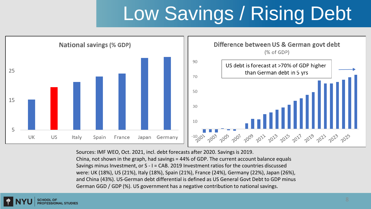## Low Savings / Rising Debt



Sources: IMF WEO, Oct. 2021, incl. debt forecasts after 2020. Savings is 2019. China, not shown in the graph, had savings = 44% of GDP. The current account balance equals Savings minus Investment, or S - I = CAB. 2019 Investment ratios for the countries discussed were: UK (18%), US (21%), Italy (18%), Spain (21%), France (24%), Germany (22%), Japan (26%), and China (43%). US-German debt differential is defined as US General Govt Debt to GDP minus German GGD / GDP (%). US government has a negative contribution to national savings.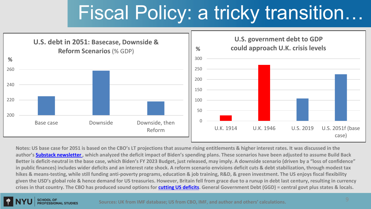### Fiscal Policy: a tricky transition…



**Notes: US base case for 2051 is based on the CBO's LT projections that assume rising entitlements & higher interest rates. It was discussed in the author's Substack [newsletter ,](https://countrysuccess.substack.com/p/rising-us-debt-what-would-sherlock) which analyzed the deficit impact of Biden's spending plans. These scenarios have been adjusted to assume Build Back Better is deficit-neutral in the base case, which Biden's FY 2023 Budget, just released, may imply. A downside scenario (driven by a "loss of confidence" in public finances) includes wider deficits and an interest rate shock. A reform scenario envisions deficit cuts & debt stabilization, through modest tax hikes & means-testing, while still funding anti-poverty programs, education & job training, R&D, & green investment. The US enjoys fiscal flexibility given the USD's global role & hence demand for US treasuries. However, Britain fell from grace due to a runup in debt last century, resulting in currency crises in that country. The CBO has produced sound options for [cutting US deficits.](https://www.cbo.gov/publication/56783) General Government Debt (GGD) = central govt plus states & locals.** 

#### **Sources: UK from IMF database; US from CBO, IMF, and author and others' calculations.**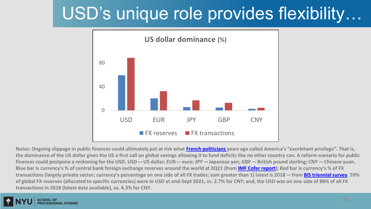### USD's unique role provides flexibility…



**Notes: Ongoing slippage in public finances could ultimately put at risk what [French politicians](https://journals.openedition.org/oeconomia/314?lang=en) years ago called America's "exorbitant privilege". That is, the dominance of the US dollar gives the US a first call on global savings allowing it to fund deficits like no other country can. A reform scenario for public**  finances could postpone a reckoning for the USD. USD — US dollar; EUR — euro; JPY — Japanese yen; GBP — British pound sterling; CNY — Chinese yuan. **Blue bar is currency's % of central bank foreign exchange reserves around the world at 3Q21 (from [IMF Cofer](https://data.imf.org/?sk=E6A5F467-C14B-4AA8-9F6D-5A09EC4E62A4) report); Red bar is currency's % of FX transactions (largely private sector; currency's percentage on one side of all FX trades; sum greater than 1) latest is 2018 — from [BIS triennial survey](https://www.bis.org/statistics/rpfx19.htm). 59% of global FX reserves (allocated to specific currencies) were in USD at end-Sept 2021, vs. 2.7% for CNY; and, the USD was on one side of 88% of all FX transactions in 2018 (latest date available), vs. 4.3% for CNY.**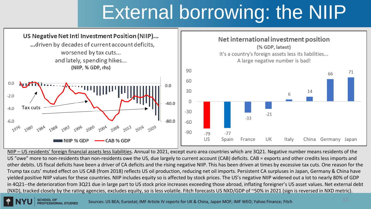### External borrowing: the NIIP



NIIP – US residents' foreign financial assets less liabilities. Annual to 2021, except euro area countries which are 3Q21. Negative number means residents of the US "owe" more to non-residents than non-residents owe the US, due largely to current account (CAB) deficits. CAB = exports and other credits less imports and other debits. US fiscal deficits have been a driver of CA deficits and the rising negative NIIP. This has been driven at times by excessive tax cuts. One reason for the Trump tax cuts' muted effect on US CAB (from 2018) reflects US oil production, reducing net oil imports. Persistent CA surpluses in Japan, Germany & China have yielded positive NIIP values for these countries. NIIP includes equity so is affected by stock prices. The US's negative NIIP widened out a lot to nearly 80% of GDP in 4Q21--the deterioration from 3Q21 due in large part to US stock price increases exceeding those abroad, inflating foreigner's US asset values. Net external debt (NXD), tracked closely by the rating agencies, excludes equity, so is less volatile. Fitch forecasts US NXD/GDP of ~50% in 2021 (sign is reversed in NXD metric).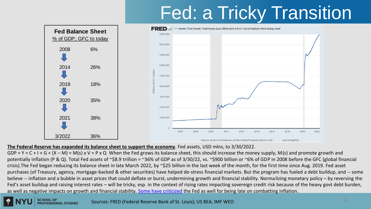### Fed: a Tricky Transition



#### **The Federal Reserve has expanded its balance sheet to support the economy**. Fed assets, USD mlns, to 3/30/2022.

GDP = Y = C + I + G + (X – M) = M(s) x V = P x Q When the Fed grows its balance sheet, this should increase the money supply, M(s) and promote growth and potentially inflation (P & Q). Total Fed assets of ~\$8.9 trillion = ~36% of GDP as of 3/30/22, vs. ~\$900 billion or ~6% of GDP in 2008 before the GFC (global financial crisis). The Fed began reducing its balance sheet in late March 2022, by  $\sim$ \$25 billion in the last week of the month, for the first time since Aug. 2019. Fed asset purchases (of Treasury, agency, mortgage-backed & other securities) have helped de-stress financial markets. But the program has fueled a debt buildup, and -- some believe -- inflation and a bubble in asset prices that could deflate or burst, undermining growth and financial stability. Normalizing monetary policy – by reversing the Fed's asset buildup and raising interest rates – will be tricky, esp. in the context of rising rates impacting sovereign credit risk because of the heavy govt debt burden, as well as negative impacts on growth and financial stability. [Some have criticized](https://www.linkedin.com/feed/update/urn:li:activity:6916019482121400321/) the Fed as well for being late on combatting inflation.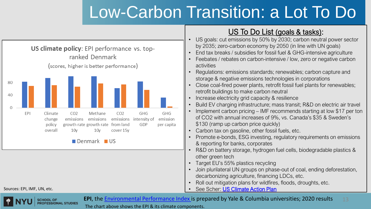### Low-Carbon Transition: a Lot To Do

|                                                                                                                                                                                                                                                                                                                                                                                                                              | US To Do List (goals & tasks):                                                                                                                                                                                                                                                                                                                                                                                                                                                                                                                                                                                                                                                                                                                                                                                                                                                                                                                                                                                                                           |
|------------------------------------------------------------------------------------------------------------------------------------------------------------------------------------------------------------------------------------------------------------------------------------------------------------------------------------------------------------------------------------------------------------------------------|----------------------------------------------------------------------------------------------------------------------------------------------------------------------------------------------------------------------------------------------------------------------------------------------------------------------------------------------------------------------------------------------------------------------------------------------------------------------------------------------------------------------------------------------------------------------------------------------------------------------------------------------------------------------------------------------------------------------------------------------------------------------------------------------------------------------------------------------------------------------------------------------------------------------------------------------------------------------------------------------------------------------------------------------------------|
| US climate policy: EPI performance vs. top-<br>ranked Denmark<br>(scores, higher is better performance)<br>80<br>40<br>CO <sub>2</sub><br>GHG<br><b>FPI</b><br>Climate<br>CO <sub>2</sub><br>Methane<br>GHG<br>emissions<br>emissions intensity of<br>emission<br>emissions<br>change<br>growth rate growth rate<br>policy<br>from land<br>GDP<br>per capita<br>10 <sub>V</sub><br>overall<br>cover 15y<br>10v<br>Denmark US | US goals: cut emissions by 50% by 2030; carbon neutral power sector<br>by 2035; zero-carbon economy by 2050 (in line with UN goals)<br>End tax breaks / subsidies for fossil fuel & GHG-intensive agriculture<br>Feebates / rebates on carbon-intensive / low, zero or negative carbon<br>activities<br>Regulations: emissions standards; renewables; carbon capture and<br>storage & negative emissions technologies in corporations<br>Close coal-fired power plants, retrofit fossil fuel plants for renewables;<br>retrofit buildings to make carbon neutral<br>Increase electricity grid capacity & resilience<br>Build EV charging infrastructure; mass transit; R&D on electric air travel<br>Implement carbon pricing – IMF recommends starting at low \$17 per ton<br>of CO2 with annual increases of 9%, vs. Canada's \$35 & Sweden's<br>\$130 (ramp up carbon price quickly)<br>Carbon tax on gasoline, other fossil fuels, etc.<br>Promote e-bonds, ESG investing, regulatory requirements on emissions<br>& reporting for banks, corporates |
| Sources: EPI, IMF, UN, etc.                                                                                                                                                                                                                                                                                                                                                                                                  | R&D on battery storage, hydrogen fuel cells, biodegradable plastics &<br>other green tech<br>Target EU's 55% plastics recycling<br>Join plurilateral UN groups on phase-out of coal, ending deforestation,<br>decarbonizing agriculture, financing LDCs, etc.<br>Roll out mitigation plans for wildfires, floods, droughts, etc.<br>See Scher: US Climate Action Plan                                                                                                                                                                                                                                                                                                                                                                                                                                                                                                                                                                                                                                                                                    |

**EPI**, the [Environmental Performance Index i](https://epi.yale.edu/epi-results/2020/component/epi)s prepared by Yale & Columbia universities; 2020 results

The chart above shows the EPI & its climate components.

**PROFESSIONAL STUDIES**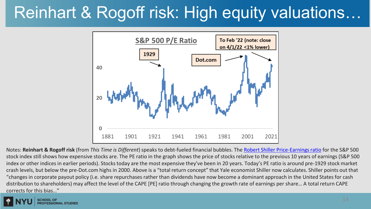#### Reinhart & Rogoff risk: High equity valuations…



Notes: **Reinhart & Rogoff risk** (from *This Time is Different*) speaks to debt-fueled financial bubbles. The [Robert Shiller Price-Earnings ratio](http://www.econ.yale.edu/~shiller/data.htm) for the S&P 500 stock index still shows how expensive stocks are. The PE ratio in the graph shows the price of stocks relative to the previous 10 years of earnings (S&P 500 index or other indices in earlier periods). Stocks today are the most expensive they've been in 20 years. Today's PE ratio is around pre-1929 stock market crash levels, but below the pre-Dot.com highs in 2000. Above is a "total return concept" that Yale economist Shiller now calculates. Shiller points out that "changes in corporate payout policy (i.e. share repurchases rather than dividends have now become a dominant approach in the United States for cash distribution to shareholders) may affect the level of the CAPE [PE] ratio through changing the growth rate of earnings per share… A total return CAPE corrects for this bias…"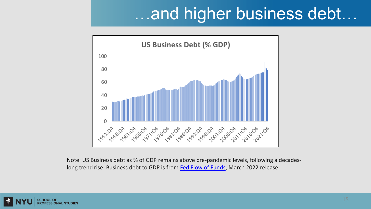#### …and higher business debt…



Note: US Business debt as % of GDP remains above pre-pandemic levels, following a decades-long trend rise. Business debt to GDP is from [Fed Flow of Funds,](https://www.federalreserve.gov/econres/rsfof-staff.htm) March 2022 release.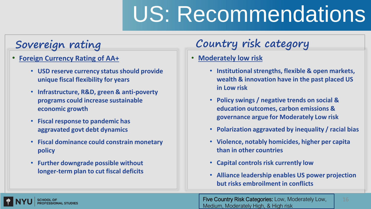# US: Recommendations

#### **Sovereign rating**

• **Foreign Currency Rating of AA+**

**IONAL STUDIES** 

- **USD reserve currency status should provide unique fiscal flexibility for years**
- **Infrastructure, R&D, green & anti-poverty programs could increase sustainable economic growth**
- **Fiscal response to pandemic has aggravated govt debt dynamics**
- **Fiscal dominance could constrain monetary policy**
- **Further downgrade possible without longer-term plan to cut fiscal deficits**

#### **Country risk category**

- **Moderately low risk**
	- **Institutional strengths, flexible & open markets, wealth & innovation have in the past placed US in Low risk**
	- **Policy swings / negative trends on social & education outcomes, carbon emissions & governance argue for Moderately Low risk**
	- **Polarization aggravated by inequality / racial bias**
	- **Violence, notably homicides, higher per capita than in other countries**
	- **Capital controls risk currently low**
	- **Alliance leadership enables US power projection but risks embroilment in conflicts**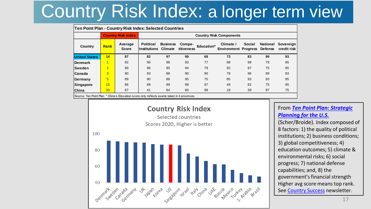### Country Risk Index: a longer term view

| Ten Point Plan - Country Risk Index: Selected Countries |                           |                         |                                          |                 |                      |            |                                          |        |                     |                          |  |
|---------------------------------------------------------|---------------------------|-------------------------|------------------------------------------|-----------------|----------------------|------------|------------------------------------------|--------|---------------------|--------------------------|--|
|                                                         | <b>Country Risk Index</b> |                         | <b>Country Risk Components</b>           |                 |                      |            |                                          |        |                     |                          |  |
| Country                                                 | <b>Rank</b>               | Average<br><b>Score</b> | <b>Political</b><br>Institutions Climate | <b>Business</b> | Compe-<br>titiveness | Education* | Climate /<br><b>Environment Progress</b> | Social | National<br>Defense | Sovereian<br>credit risk |  |
| <b>United States</b>                                    | 14                        | 87                      | 82                                       | 97              | 99                   | 68         | 73                                       | 83     | 99                  | 93                       |  |
| Denmark                                                 | 1                         | 92                      | 95                                       | 98              | 93                   | 77         | 98                                       | 99     | 79                  | 95                       |  |
| <b>Sweden</b>                                           | $\overline{2}$            | 90                      | 96                                       | 95              | 94                   | 79         | 92                                       | 97     | 75                  | 95                       |  |
| <b>Canada</b>                                           | 3                         | 90                      | 93                                       | 88              | 90                   | 90         | 78                                       | 96     | 89                  | 93                       |  |
| Germany                                                 | 5                         | 89                      | 90                                       | 88              | 95                   | 75         | 85                                       | 93     | 93                  | 95                       |  |
| Singapore                                               | 15                        | 86                      | 89                                       | 99              | 99                   | 97         | 49                                       | 82     | 75                  | 95                       |  |
| China                                                   | 33                        | 67                      | 41                                       | 84              | 80                   | 99         | 18                                       | 39     | 97                  | 75                       |  |

Source: Ten Point Plan \* China's Education score only reflects exams taken in 4 provinces.



#### From *[Ten Point Plan: Strategic](https://countrysuccess.net/)  Planning for the U.S.*

(Scher/Broide). Index composed of 8 factors: 1) the quality of political institutions; 2) business conditions; 3) global competitiveness; 4) education outcomes; 5) climate & environmental risks; 6) social progress; 7) national defense capabilities; and, 8) the government's financial strength Higher avg score means top rank. See [Country Success](https://countrysuccess.substack.com/) newsletter.